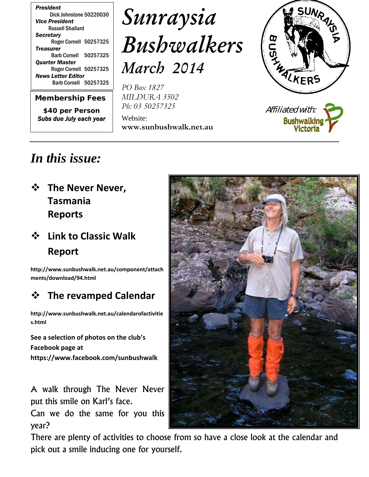*Membership Fees*

*\$40 per Person Subs due July each year*

# *Sunraysia Bushwalkers March 2014*

*PO Box 1827 MILDURA 3502 Ph: 03 50257325*

Website: **www.sunbushwalk.net.au**



# *In this issue:*

 **The Never Never, Tasmania Reports**

## **Link to Classic Walk Report**

**http://www.sunbushwalk.net.au/component/attach ments/download/94.html**

### **The revamped Calendar**

**http://www.sunbushwalk.net.au/calendarofactivitie s.html**

**See a selection of photos on the club's Facebook page at https://www.facebook.com/sunbushwalk**

A walk through The Never Never put this smile on Karl's face.

Can we do the same for you this year?



There are plenty of activities to choose from so have a close look at the calendar and pick out a smile inducing one for yourself.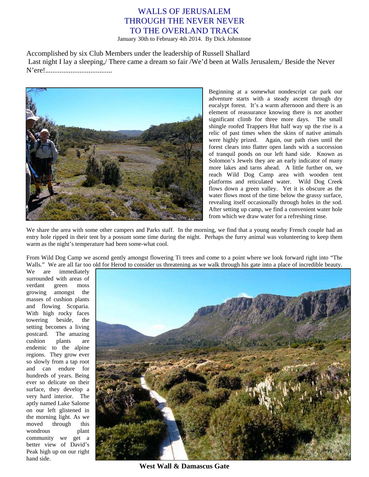### WALLS OF JERUSALEM THROUGH THE NEVER NEVER TO THE OVERLAND TRACK

January 30th to February 4th 2014. By Dick Johnstone

Accomplished by six Club Members under the leadership of Russell Shallard Last night I lay a sleeping,/ There came a dream so fair /We'd been at Walls Jerusalem,/ Beside the Never N'ere!.....................................



Beginning at a somewhat nondescript car park our adventure starts with a steady ascent through dry eucalypt forest. It's a warm afternoon and there is an element of reassurance knowing there is not another significant climb for three more days. The small shingle roofed Trappers Hut half way up the rise is a relic of past times when the skins of native animals were highly prized. Again, our path rises until the forest clears into flatter open lands with a succession of tranquil ponds on our left hand side. Known as Solomon's Jewels they are an early indicator of many more lakes and tarns ahead. A little further on, we reach Wild Dog Camp area with wooden tent platforms and reticulated water. Wild Dog Creek flows down a green valley. Yet it is obscure as the water flows most of the time below the grassy surface, revealing itself occasionally through holes in the sod. After setting up camp, we find a convenient water hole from which we draw water for a refreshing rinse.

We share the area with some other campers and Parks staff. In the morning, we find that a young nearby French couple had an entry hole ripped in their tent by a possum some time during the night. Perhaps the furry animal was volunteering to keep them warm as the night's temperature had been some-what cool.

From Wild Dog Camp we ascend gently amongst flowering Ti trees and come to a point where we look forward right into "The Walls." We are all far too old for Herod to consider us threatening as we walk through his gate into a place of incredible beauty.

We are immediately surrounded with areas of verdant green moss growing amongst the masses of cushion plants and flowing Scoparia. With high rocky faces towering beside, the setting becomes a living postcard. The amazing cushion plants are endemic to the alpine regions. They grow ever so slowly from a tap root and can endure for hundreds of years. Being ever so delicate on their surface, they develop a very hard interior. The aptly named Lake Salome on our left glistened in the morning light. As we moved through this wondrous plant community we get a better view of David's Peak high up on our right hand side.



**West Wall & Damascus Gate**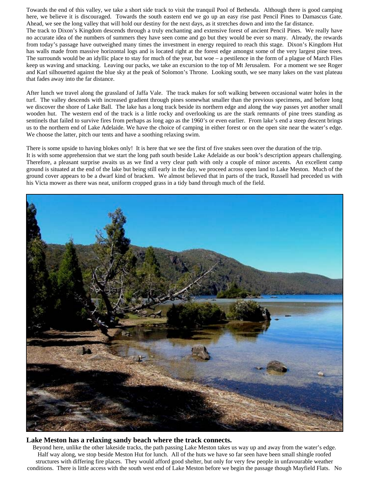Towards the end of this valley, we take a short side track to visit the tranquil Pool of Bethesda. Although there is good camping here, we believe it is discouraged. Towards the south eastern end we go up an easy rise past Pencil Pines to Damascus Gate. Ahead, we see the long valley that will hold our destiny for the next days, as it stretches down and into the far distance.

The track to Dixon's Kingdom descends through a truly enchanting and extensive forest of ancient Pencil Pines. We really have no accurate idea of the numbers of summers they have seen come and go but they would be ever so many. Already, the rewards from today's passage have outweighed many times the investment in energy required to reach this stage. Dixon's Kingdom Hut has walls made from massive horizontal logs and is located right at the forest edge amongst some of the very largest pine trees. The surrounds would be an idyllic place to stay for much of the year, but woe – a pestilence in the form of a plague of March Flies keep us waving and smacking. Leaving our packs, we take an excursion to the top of Mt Jerusalem. For a moment we see Roger and Karl silhouetted against the blue sky at the peak of Solomon's Throne. Looking south, we see many lakes on the vast plateau that fades away into the far distance.

After lunch we travel along the grassland of Jaffa Vale. The track makes for soft walking between occasional water holes in the turf. The valley descends with increased gradient through pines somewhat smaller than the previous specimens, and before long we discover the shore of Lake Ball. The lake has a long track beside its northern edge and along the way passes yet another small wooden hut. The western end of the track is a little rocky and overlooking us are the stark remnants of pine trees standing as sentinels that failed to survive fires from perhaps as long ago as the 1960's or even earlier. From lake's end a steep descent brings us to the northern end of Lake Adelaide. We have the choice of camping in either forest or on the open site near the water's edge. We choose the latter, pitch our tents and have a soothing relaxing swim.

There is some upside to having blokes only! It is here that we see the first of five snakes seen over the duration of the trip. It is with some apprehension that we start the long path south beside Lake Adelaide as our book's description appears challenging. Therefore, a pleasant surprise awaits us as we find a very clear path with only a couple of minor ascents. An excellent camp ground is situated at the end of the lake but being still early in the day, we proceed across open land to Lake Meston. Much of the ground cover appears to be a dwarf kind of bracken. We almost believed that in parts of the track, Russell had preceded us with his Victa mower as there was neat, uniform cropped grass in a tidy band through much of the field.



#### **Lake Meston has a relaxing sandy beach where the track connects.**

Beyond here, unlike the other lakeside tracks, the path passing Lake Meston takes us way up and away from the water's edge. Half way along, we stop beside Meston Hut for lunch. All of the huts we have so far seen have been small shingle roofed structures with differing fire places. They would afford good shelter, but only for very few people in unfavourable weather conditions. There is little access with the south west end of Lake Meston before we begin the passage though Mayfield Flats. No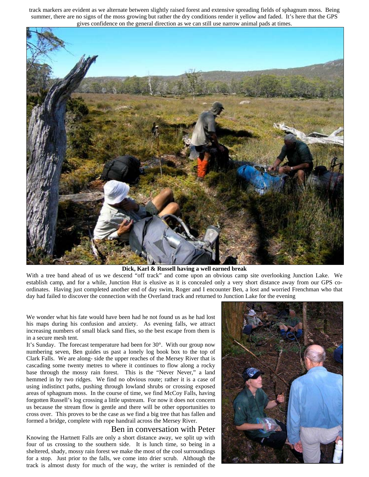track markers are evident as we alternate between slightly raised forest and extensive spreading fields of sphagnum moss. Being summer, there are no signs of the moss growing but rather the dry conditions render it yellow and faded. It's here that the GPS gives confidence on the general direction as we can still use narrow animal pads at times.



#### **Dick, Karl & Russell having a well earned break**

With a tree band ahead of us we descend "off track" and come upon an obvious camp site overlooking Junction Lake. We establish camp, and for a while, Junction Hut is elusive as it is concealed only a very short distance away from our GPS coordinates. Having just completed another end of day swim, Roger and I encounter Ben, a lost and worried Frenchman who that day had failed to discover the connection with the Overland track and returned to Junction Lake for the evening

We wonder what his fate would have been had he not found us as he had lost his maps during his confusion and anxiety. As evening falls, we attract increasing numbers of small black sand flies, so the best escape from them is in a secure mesh tent.

It's Sunday. The forecast temperature had been for 30°. With our group now numbering seven, Ben guides us past a lonely log book box to the top of Clark Falls. We are along- side the upper reaches of the Mersey River that is cascading some twenty metres to where it continues to flow along a rocky base through the mossy rain forest. This is the "Never Never," a land hemmed in by two ridges. We find no obvious route; rather it is a case of using indistinct paths, pushing through lowland shrubs or crossing exposed areas of sphagnum moss. In the course of time, we find McCoy Falls, having forgotten Russell's log crossing a little upstream. For now it does not concern us because the stream flow is gentle and there will be other opportunities to cross over. This proves to be the case as we find a big tree that has fallen and formed a bridge, complete with rope handrail across the Mersey River.

#### Ben in conversation with Peter

Knowing the Hartnett Falls are only a short distance away, we split up with four of us crossing to the southern side. It is lunch time, so being in a sheltered, shady, mossy rain forest we make the most of the cool surroundings for a stop. Just prior to the falls, we come into drier scrub. Although the track is almost dusty for much of the way, the writer is reminded of the

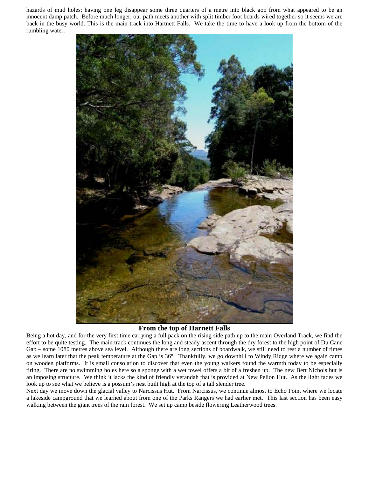hazards of mud holes; having one leg disappear some three quarters of a metre into black goo from what appeared to be an innocent damp patch. Before much longer, our path meets another with split timber foot boards wired together so it seems we are back in the busy world. This is the main track into Hartnett Falls. We take the time to have a look up from the bottom of the rumbling water.



#### **From the top of Harnett Falls**

Being a hot day, and for the very first time carrying a full pack on the rising side path up to the main Overland Track, we find the effort to be quite testing. The main track continues the long and steady ascent through the dry forest to the high point of Du Cane Gap – some 1080 metres above sea level. Although there are long sections of boardwalk, we still need to rest a number of times as we learn later that the peak temperature at the Gap is 36°. Thankfully, we go downhill to Windy Ridge where we again camp on wooden platforms. It is small consolation to discover that even the young walkers found the warmth today to be especially tiring. There are no swimming holes here so a sponge with a wet towel offers a bit of a freshen up. The new Bert Nichols hut is an imposing structure. We think it lacks the kind of friendly verandah that is provided at New Pelion Hut. As the light fades we look up to see what we believe is a possum's nest built high at the top of a tall slender tree.

Next day we move down the glacial valley to Narcissus Hut. From Narcissus, we continue almost to Echo Point where we locate a lakeside campground that we learned about from one of the Parks Rangers we had earlier met. This last section has been easy walking between the giant trees of the rain forest. We set up camp beside flowering Leatherwood trees.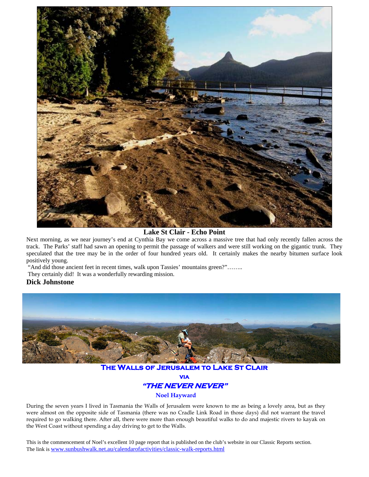

**Lake St Clair - Echo Point**

Next morning, as we near journey's end at Cynthia Bay we come across a massive tree that had only recently fallen across the track. The Parks' staff had sawn an opening to permit the passage of walkers and were still working on the gigantic trunk. They speculated that the tree may be in the order of four hundred years old. It certainly makes the nearby bitumen surface look positively young.

"And did those ancient feet in recent times, walk upon Tassies' mountains green?"……..

They certainly did! It was a wonderfully rewarding mission.

#### **Dick Johnstone**



**The Walls of Jerusalem to Lake St Clair via "THE NEVER NEVER"**

**Noel Hayward**

During the seven years I lived in Tasmania the Walls of Jerusalem were known to me as being a lovely area, but as they were almost on the opposite side of Tasmania (there was no Cradle Link Road in those days) did not warrant the travel required to go walking there. After all, there were more than enough beautiful walks to do and majestic rivers to kayak on the West Coast without spending a day driving to get to the Walls.

This is the commencement of Noel's excellent 10 page report that is published on the club's website in our Classic Reports section. The link is www.sunbushwalk.net.au/calendarofactivities/classic-walk-reports.html